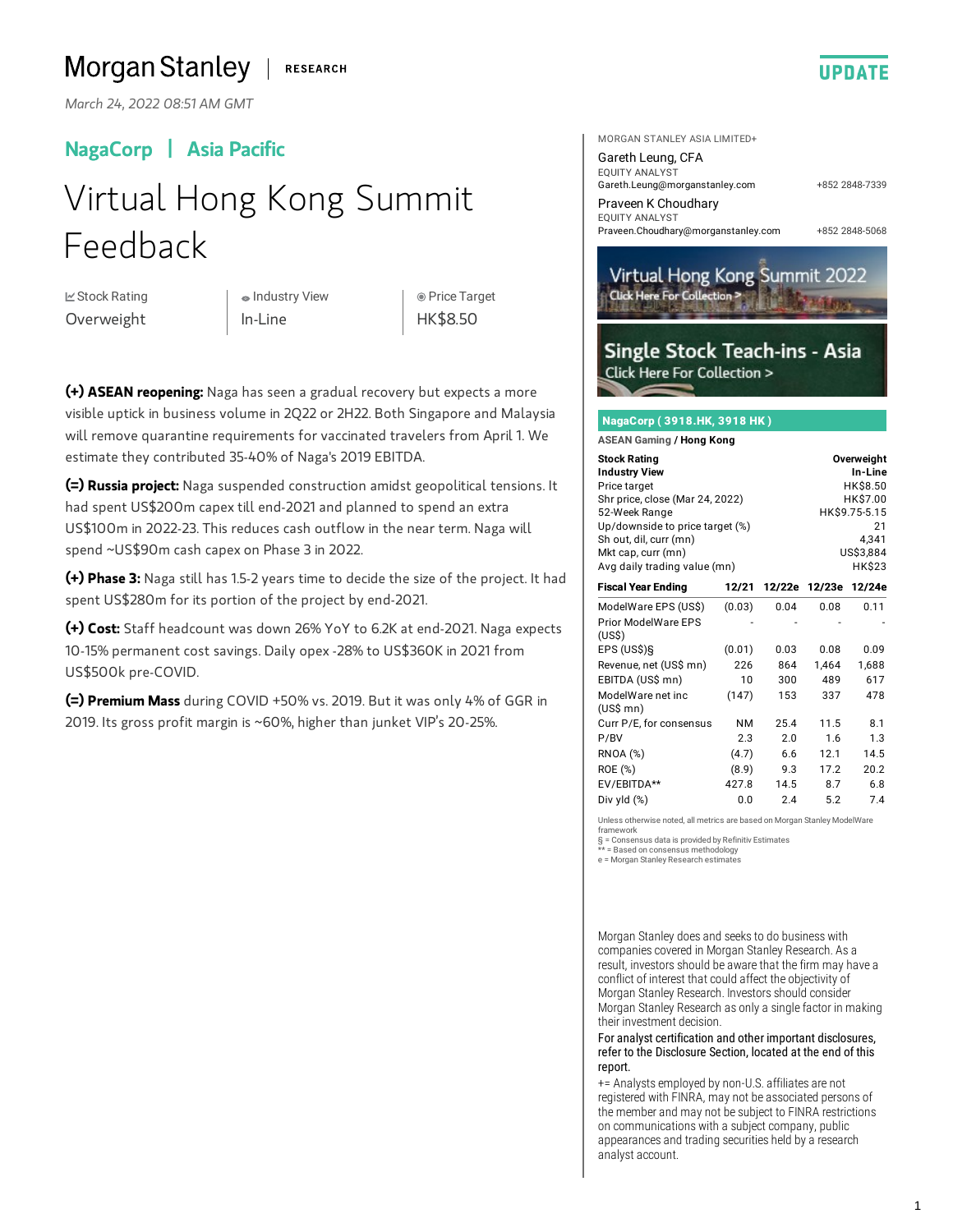#### Morgan Stanley **RESEARCH**

*March 24, 2022 08:51 AM GMT*

## NagaCorp | Asia Pacific

# Virtual Hong Kong Summit Feedback

**⊠ Stock Rating** Overweight

Industry View In-Line

 Price Target HK\$8.50

**(+) ASEAN reopening:** Naga has seen a gradual recovery but expects a more visible uptick in business volume in 2Q22 or 2H22. Both Singapore and Malaysia will remove quarantine requirements for vaccinated travelers from April 1. We estimate they contributed 35-40% of Naga's 2019 EBITDA.

**(=) Russia project:** Naga suspended construction amidst geopolitical tensions. It had spent US\$200m capex till end-2021 and planned to spend an extra US\$100m in 2022-23. This reduces cash outflow in the near term. Naga will spend ~US\$90m cash capex on Phase 3 in 2022.

**(+) Phase3:** Naga still has 1.5-2years time to decide the size of the project. Ithad spent US\$280m for its portion of the project by end-2021.

**(+) Cost:** Staff headcount was down 26% YoY to 6.2K at end-2021. Naga expects 10-15% permanent cost savings. Daily opex -28% to US\$360K in 2021 from US\$500k pre-COVID.

**(=) Premium Mass** during COVID +50% vs.2019. But it was only 4% of GGR in 2019. Its gross profit margin is ~60%, higher than junket VIP's 20-25%.



[Gareth.Leung@morganstanley.com](mailto:Gareth.Leung@morganstanley.com) Gareth Leung, CFA EQUITY ANALYST

[Praveen.Choudhary@morganstanley.com](mailto:Praveen.Choudhary@morganstanley.com) Praveen K Choudhary EQUITY ANALYST

+852 2848-7339

**UPDATE** 

+852 2848-5068



### Single Stock Teach-ins - Asia **Click Here For Collection >**

#### NagaCorp ( 3918.HK, 3918 HK )

**ASEAN Gaming / Hong Kong**

| <b>Stock Rating</b>                                         | Overweight    |        |        |        |
|-------------------------------------------------------------|---------------|--------|--------|--------|
| <b>Industry View</b>                                        | In-Line       |        |        |        |
| Price target                                                | HK\$8.50      |        |        |        |
| Shr price, close (Mar 24, 2022)                             | HK\$7.00      |        |        |        |
| 52-Week Range                                               | HK\$9.75-5.15 |        |        |        |
| Up/downside to price target (%)                             | 21            |        |        |        |
| Sh out, dil, curr (mn)                                      | 4.341         |        |        |        |
| Mkt cap, curr (mn)                                          | US\$3,884     |        |        |        |
| Avg daily trading value (mn)                                | HK\$23        |        |        |        |
| <b>Fiscal Year Ending</b>                                   | 12/21         | 12/22e | 12/23e | 12/24e |
| ModelWare EPS (US\$)<br><b>Prior ModelWare EPS</b><br>(USS) | (0.03)        | 0.04   | 0.08   | 0.11   |
| EPS (US\$)§                                                 | (0.01)        | 0.03   | 0.08   | 0.09   |
| Revenue, net (US\$ mn)                                      | 226           | 864    | 1,464  | 1.688  |
| EBITDA (US\$ mn)                                            | 10            | 300    | 489    | 617    |
| ModelWare net inc<br>$(US$$ mn $)$                          | (147)         | 153    | 337    | 478    |
| Curr P/E, for consensus                                     | <b>NM</b>     | 25.4   | 11.5   | 8.1    |
| P/BV                                                        | 2.3           | 2.0    | 1.6    | 1.3    |
| <b>RNOA (%)</b>                                             | (4.7)         | 6.6    | 12.1   | 14.5   |
| ROE (%)                                                     | (8.9)         | 9.3    | 17.2   | 20.2   |
| EV/EBITDA**                                                 | 427.8         | 14.5   | 8.7    | 6.8    |
| Div yld (%)                                                 | 0.0           | 2.4    | 5.2    | 7.4    |

Unless otherwise noted, all metrics are based on Morgan Stanley ModelWare

framework

§ = Consensus data is provided by Refinitiv Estimates

\*\* = Based on consensus methodology e = Morgan Stanley Research estimates

Morgan Stanley does and seeks to do business with companies covered in Morgan Stanley Research. As a result, investors should be aware that the firm may have a conflict of interest that could affect the objectivity of Morgan Stanley Research. Investors should consider Morgan Stanley Research as only a single factor in making their investment decision.

For analyst certification and other important disclosures, refer to the Disclosure Section, located at the end of this report.

+= Analysts employed by non-U.S. affiliates are not registered with FINRA, may not be associated persons of the member and may not be subject to FINRA restrictions on communications with a subject company, public appearances and trading securities held by a research analyst account.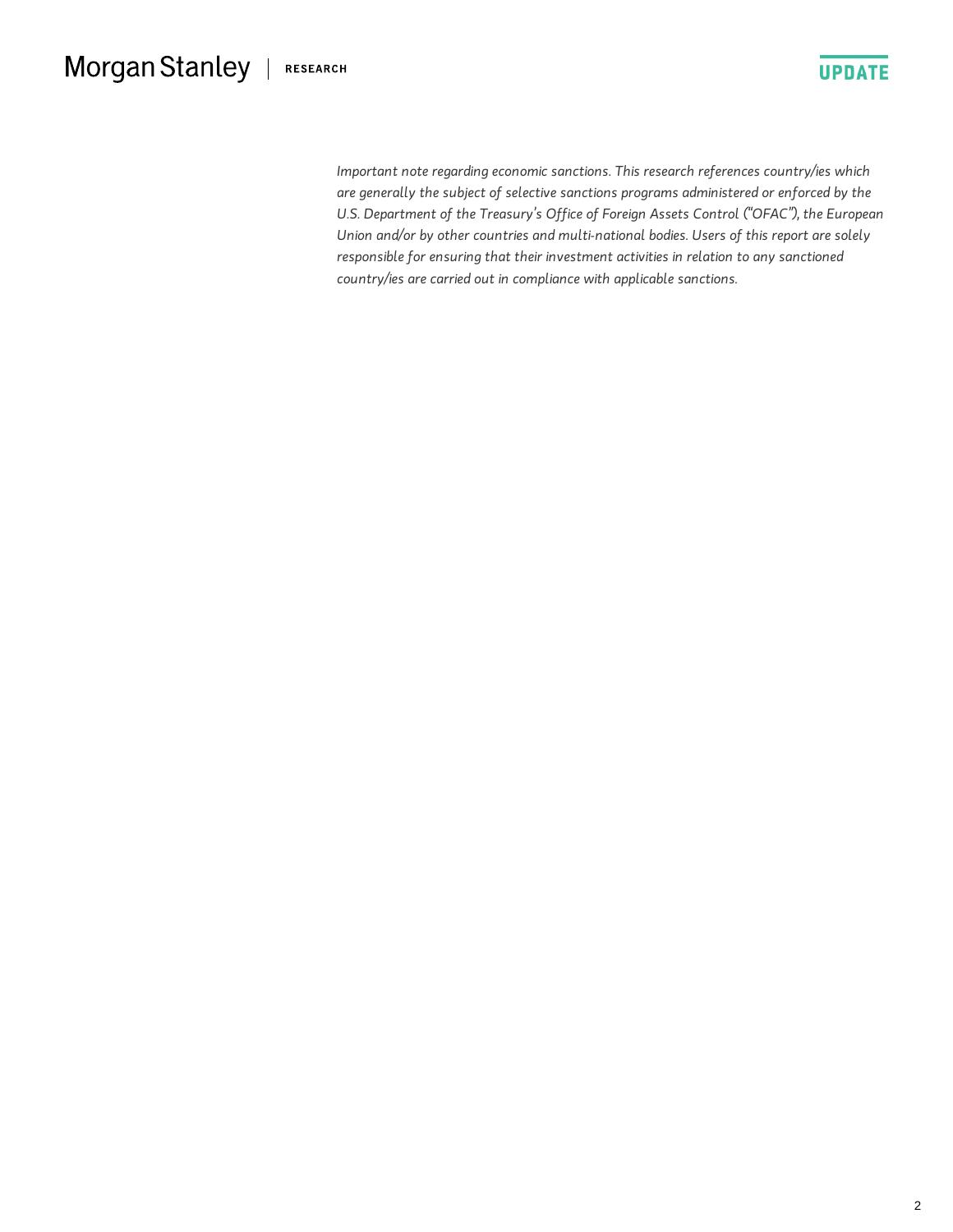#### Morgan Stanley | RESEARCH



*Important note regarding economic sanctions. This research references country/ies which aregenerally the subject of selective sanctions programs administeredor enforcedby the U.S. Department of the Treasury's Office of Foreign Assets Control ("OFAC"), the European Union and/or by other countries and multi-national bodies. Users of this report are solely responsible* for ensuring that their investment activities in relation to any sanctioned *country/ies* are carried out in compliance with applicable sanctions.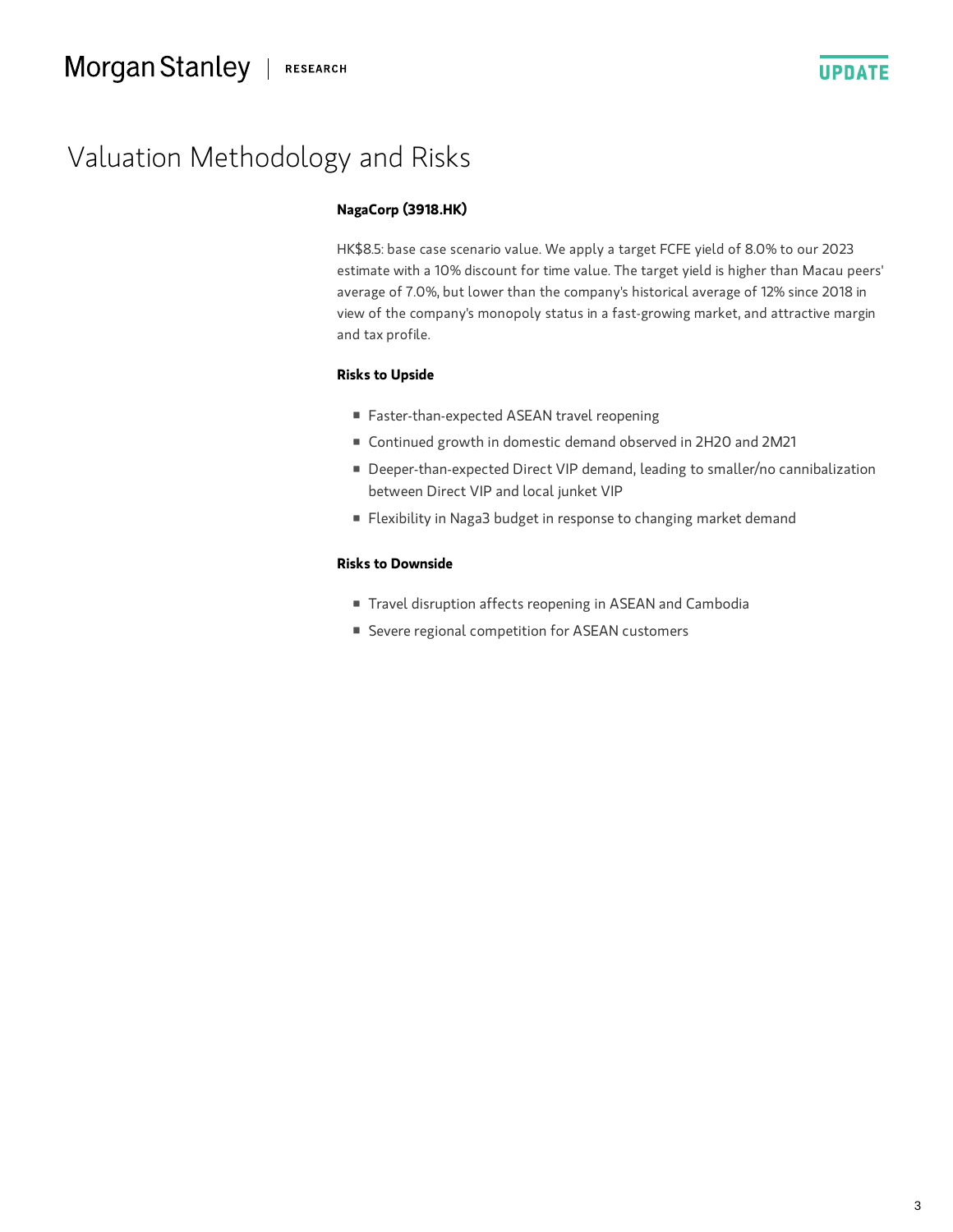

## Valuation Methodology and Risks

#### **NagaCorp (3918.HK)**

HK\$8.5: base case scenario value. We apply a target FCFE yield of 8.0% to our 2023 estimate with a 10% discount for time value. The target yield is higher than Macau peers' average of 7.0%, but lower than the company's historical average of 12% since 2018 in view of the company's monopoly status in a fast-growing market, and attractive margin and tax profile.

#### **Risks to Upside**

- Faster-than-expected ASEAN travel reopening
- Continued growth in domestic demand observed in 2H2O and 2M21
- Deeper-than-expected Direct VIP demand, leading to smaller/no cannibalization between Direct VIP and local junket VIP
- Flexibility in Naga3 budget in response to changing market demand

#### **Risks to Downside**

- Travel disruption affects reopening in ASEAN and Cambodia
- Severe regional competition for ASEAN customers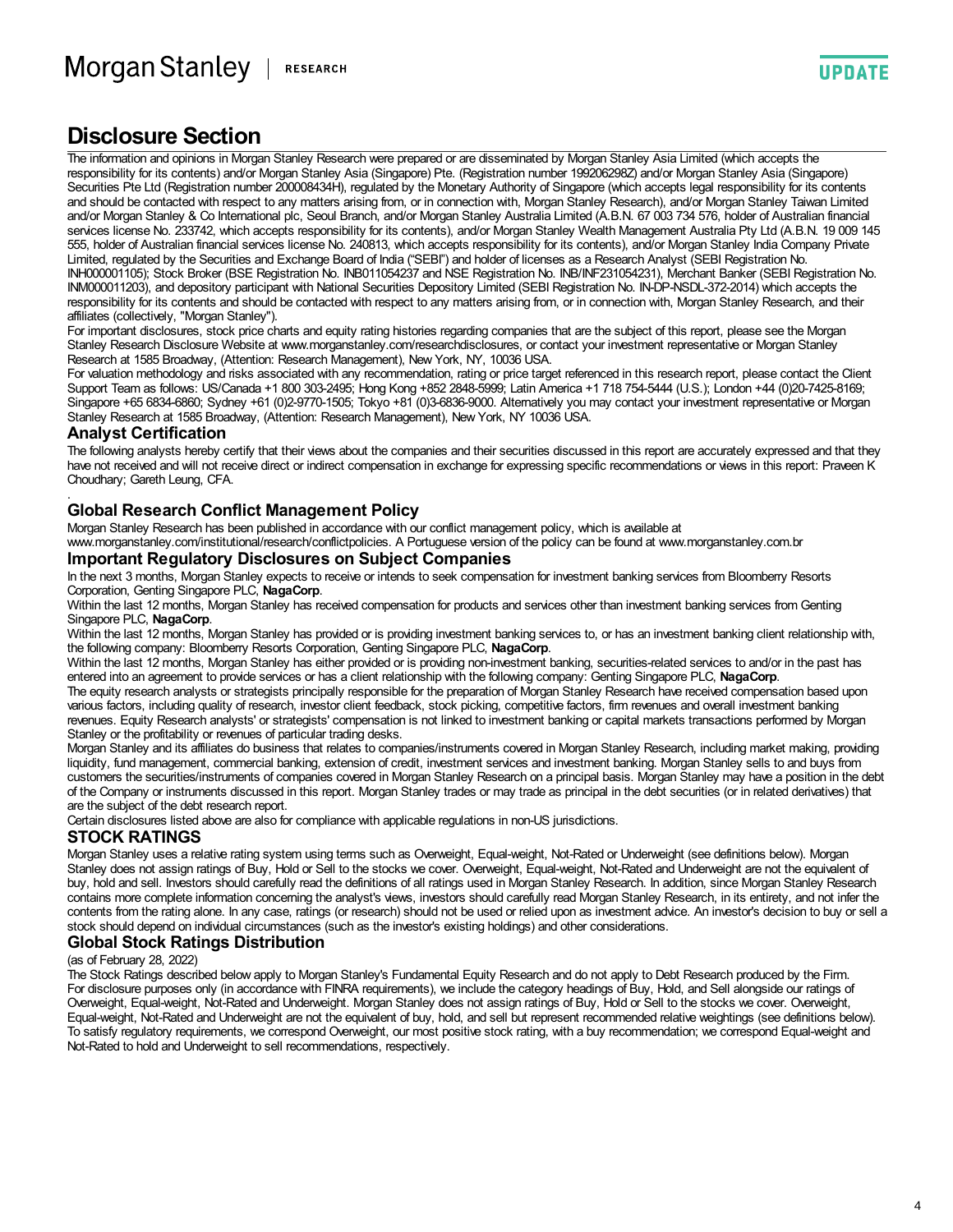**UPDATE** 

## **Disclosure Section**

The information and opinions in Morgan Stanley Research were prepared or are disseminated by Morgan Stanley Asia Limited (which accepts the responsibility for its contents) and/or Morgan Stanley Asia (Singapore) Pte. (Registration number 199206298Z) and/or Morgan Stanley Asia (Singapore) Securities Pte Ltd (Registration number 200008434H), regulated by the Monetary Authority of Singapore (which accepts legal responsibility for its contents and should be contacted with respect to any matters arising from, or in connection with, Morgan Stanley Research), and/or Morgan Stanley Taiwan Limited and/or Morgan Stanley & Co International plc, Seoul Branch, and/or Morgan Stanley Australia Limited (A.B.N. 67 003 734 576, holder of Australian financial services license No. 233742, which accepts responsibility for its contents), and/or Morgan Stanley Wealth Management Australia Pty Ltd (A.B.N. 19 009 145 555, holder of Australian financial services license No. 240813, which accepts responsibility for its contents), and/or Morgan Stanley India Company Private Limited, regulated by the Securities and Exchange Board of India ("SEBI") and holder of licenses as a Research Analyst (SEBI Registration No. INH000001105); Stock Broker (BSE Registration No. INB011054237 and NSE Registration No. INB/INF231054231), Merchant Banker (SEBI Registration No. INM000011203), and depository participant with National Securities Depository Limited (SEBI Registration No. IN-DP-NSDL-372-2014) which accepts the responsibility for its contents and should be contacted with respect to any matters arising from, or in connection with, Morgan Stanley Research, and their affiliates (collectively, "Morgan Stanley").

For important disclosures, stock price charts and equity rating histories regarding companies that are the subject of this report, please see the Morgan Stanley Research Disclosure Website at www.morganstanley.com/researchdisclosures, or contact your investment representative or Morgan Stanley Research at 1585 Broadway, (Attention: Research Management), New York, NY, 10036 USA.

For valuation methodology and risks associated with any recommendation, rating or price target referenced in this research report, please contact the Client Support Team as follows: US/Canada +1 800 303-2495; Hong Kong +852 2848-5999; Latin America +1 718 754-5444 (U.S.); London +44 (0)20-7425-8169; Singapore +65 6834-6860; Sydney +61 (0)2-9770-1505; Tokyo +81 (0)3-6836-9000. Alternatively you may contact your investment representative or Morgan Stanley Research at 1585 Broadway, (Attention: Research Management), New York, NY 10036 USA.

#### **Analyst Certification**

The following analysts hereby certify that their views about the companies and their securities discussed in this report are accurately expressed and that they have not received and will not receive direct or indirect compensation in exchange for expressing specific recommendations or views in this report: Praveen K Choudhary; Gareth Leung, CFA. .

#### **Global Research Conflict Management Policy**

Morgan Stanley Research has been published in accordance with our conflict management policy, which is available at www.morganstanley.com/institutional/research/conflictpolicies. A Portuguese version of the policy can be found at www.morganstanley.com.br

#### **Important Regulatory Disclosures on Subject Companies**

In the next 3 months, Morgan Stanley expects to receive or intends to seek compensation for investment banking services from Bloomberry Resorts<br>Corporation, Genting Singapore PLC, NagaCorp.

Within the last 12 months, Morgan Stanley has received compensation for products and services other than investment banking services from Genting<br>Singapore PLC, NagaCorp.

Within the last 12 months, Morgan Stanley has provided or is providing investment banking services to, or has an investment banking client relationship with, the following company: Bloomberry Resorts Corporation, Genting S

Within the last 12 months, Morgan Stanley has either provided or is providing non-investment banking, securities-related services to and/or in the past has entered into an agreement to provide services or has a client relationship with the following company: Genting Singapore PLC, **NagaCorp**.

The equity research analysts or strategists principally responsible for the preparation of Morgan Stanley Research have received compensation based upon various factors, including quality of research, investor client feedback, stock picking, competitive factors, firm revenues and overall investment banking revenues. Equity Research analysts' or strategists' compensation is not linked to investment banking or capital markets transactions performed by Morgan Stanley or the profitability or revenues of particular trading desks.

Morgan Stanley and its affiliates do business that relates to companies/instruments covered in Morgan Stanley Research, including market making, providing liquidity, fund management, commercial banking, extension of credit, investment services and investment banking. Morgan Stanley sells to and buys from customers the securities/instruments of companies covered in Morgan Stanley Research on a principal basis. Morgan Stanley may have a position in the debt of the Company or instruments discussed in this report. Morgan Stanley trades or may trade as principal in the debt securities (or in related derivatives) that are the subject of the debt research report.

Certain disclosures listed above are also for compliance with applicable regulations in non-US jurisdictions.

#### **STOCK RATINGS**

Morgan Stanley uses a relative rating system using terms such as Overweight, Equal-weight, Not-Rated or Underweight (see definitions below). Morgan Stanley does not assign ratings of Buy, Hold or Sell to the stocks we cover. Overweight, Equal-weight, Not-Rated and Underweight are not the equivalent of buy, hold and sell. Investors should carefully read the definitions of all ratings used in Morgan Stanley Research. In addition, since Morgan Stanley Research contains more complete information concerning the analyst's views, investors should carefully read Morgan Stanley Research, in its entirety, and not infer the contents from the rating alone. In any case, ratings (or research) should not be used or relied upon as investment advice. An investor's decision to buy or sell a stock should depend on individual circumstances (such as the investor's existing holdings) and other considerations.

#### **Global Stock Ratings Distribution**

#### (as of February 28, 2022)

The Stock Ratings described below apply to Morgan Stanley's Fundamental Equity Research and do not apply to Debt Research produced by the Firm. For disclosure purposes only (in accordance with FINRA requirements), we include the category headings of Buy, Hold, and Sell alongside our ratings of Overweight, Equal-weight, Not-Rated and Underweight. Morgan Stanley does not assign ratings of Buy, Hold or Sell to the stocks we cover. Overweight, Equal-weight, Not-Rated and Underweight are not the equivalent of buy, hold, and sell but represent recommended relative weightings (see definitions below). To satisfy regulatory requirements, we correspond Overweight, our most positive stock rating, with a buy recommendation; we correspond Equal-weight and Not-Rated to hold and Underweight to sell recommendations, respectively.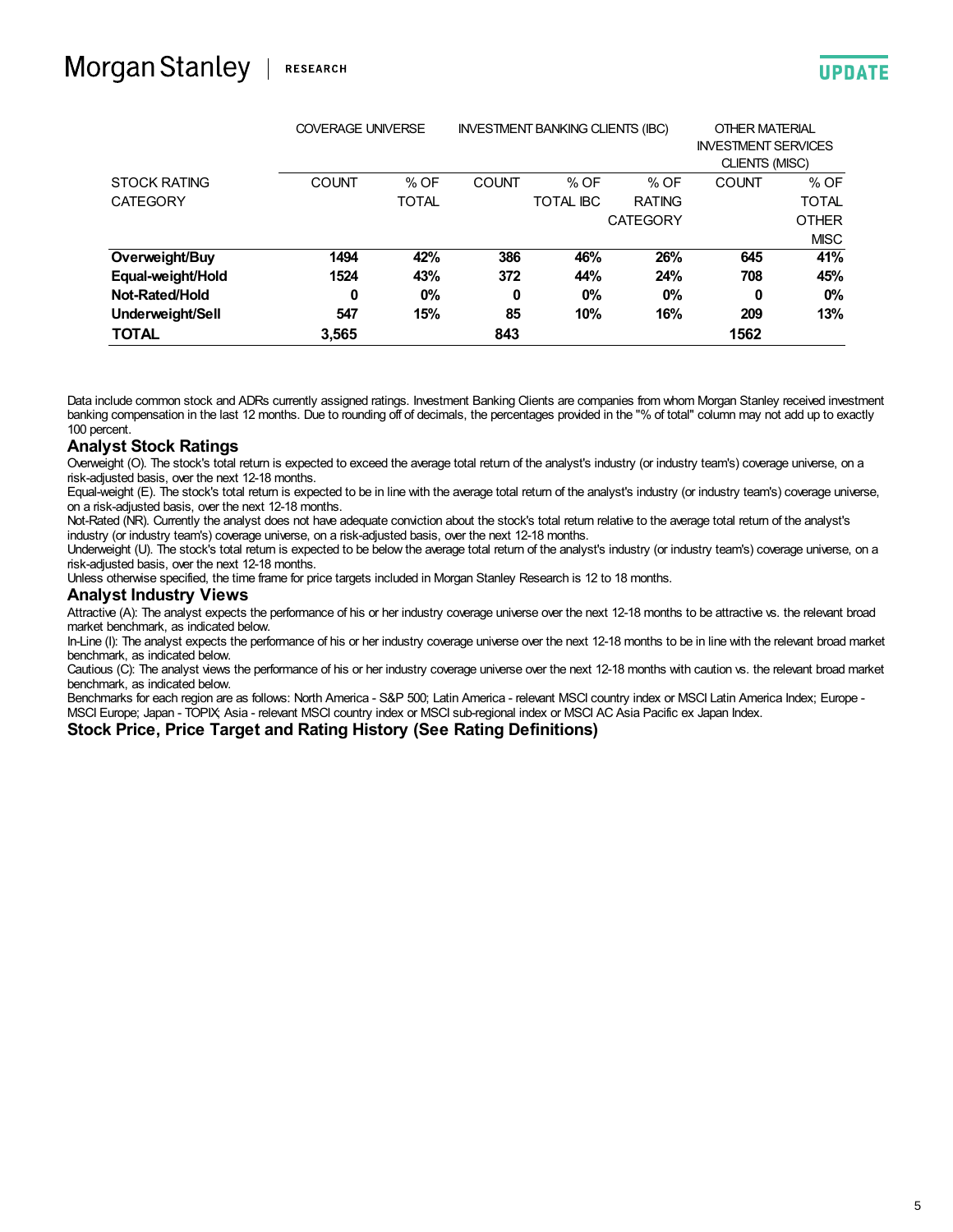|                     | <b>COVERAGE UNIVERSE</b> |              | <b>INVESTMENT BANKING CLIENTS (IBC)</b> |                  | OTHER MATERIAL<br><b>INVESTMENT SERVICES</b><br>CLIENTS (MISC) |              |              |
|---------------------|--------------------------|--------------|-----------------------------------------|------------------|----------------------------------------------------------------|--------------|--------------|
| <b>STOCK RATING</b> | <b>COUNT</b>             | % OF         | <b>COUNT</b>                            | % OF             | % OF                                                           | <b>COUNT</b> | % OF         |
| <b>CATEGORY</b>     |                          | <b>TOTAL</b> |                                         | <b>TOTAL IBC</b> | <b>RATING</b>                                                  |              | <b>TOTAL</b> |
|                     |                          |              |                                         |                  | <b>CATEGORY</b>                                                |              | <b>OTHER</b> |
|                     |                          |              |                                         |                  |                                                                |              | <b>MISC</b>  |
| Overweight/Buy      | 1494                     | 42%          | 386                                     | 46%              | 26%                                                            | 645          | 41%          |
| Equal-weight/Hold   | 1524                     | 43%          | 372                                     | 44%              | 24%                                                            | 708          | 45%          |
| Not-Rated/Hold      | 0                        | 0%           | 0                                       | $0\%$            | $0\%$                                                          | $\bf{0}$     | $0\%$        |
| Underweight/Sell    | 547                      | 15%          | 85                                      | 10%              | 16%                                                            | 209          | 13%          |
| <b>TOTAL</b>        | 3,565                    |              | 843                                     |                  |                                                                | 1562         |              |

Data include common stock and ADRs currently assigned ratings. Investment Banking Clients are companies from whom Morgan Stanley received investment banking compensation in the last 12 months. Due to rounding off of decimals, the percentages provided in the "% of total" column may not add up to exactly 100 percent.

#### **Analyst Stock Ratings**

Overweight (O). The stock's total return is expected to exceed the average total return of the analyst's industry (or industry team's) coverage universe, on a risk-adjusted basis, over the next 12-18 months.

Equal-weight (E). The stock's total return is expected to be in line with the average total return of the analyst's industry (or industry team's) coverage universe, on a risk-adjusted basis, over the next 12-18 months.

Not-Rated (NR). Currently the analyst does not have adequate conviction about the stock's total return relative to the average total return of the analyst's industry (or industry team's) coverage universe, on a risk-adjusted basis, over the next 12-18 months.

Underweight (U). The stock's total return is expected to be below the average total return of the analyst's industry (or industry team's) coverage universe, on a risk-adjusted basis, over the next 12-18 months.

Unless otherwise specified, the time frame for price targets included in Morgan Stanley Research is 12 to 18 months.

#### **Analyst Industry Views**

Attractive (A): The analyst expects the performance of his or her industry coverage universe over the next 12-18 months to be attractive vs. the relevant broad market benchmark, as indicated below.

In-Line (I): The analyst expects the performance of his or her industry coverage universe over the next 12-18 months to be in line with the relevant broad market benchmark, as indicated below.

Cautious (C): The analyst views the performance of his or her industry coverage universe over the next 12-18 months with caution vs. the relevant broad market benchmark, as indicated below.

Benchmarks for each region are as follows: North America - S&P 500; Latin America - relevant MSCI country index or MSCI Latin America Index; Europe - MSCI Europe; Japan - TOPIX; Asia - relevant MSCI country index or MSCI sub-regional index or MSCI AC Asia Pacific ex Japan Index.

#### **Stock Price, Price Target and Rating History (See Rating Definitions)**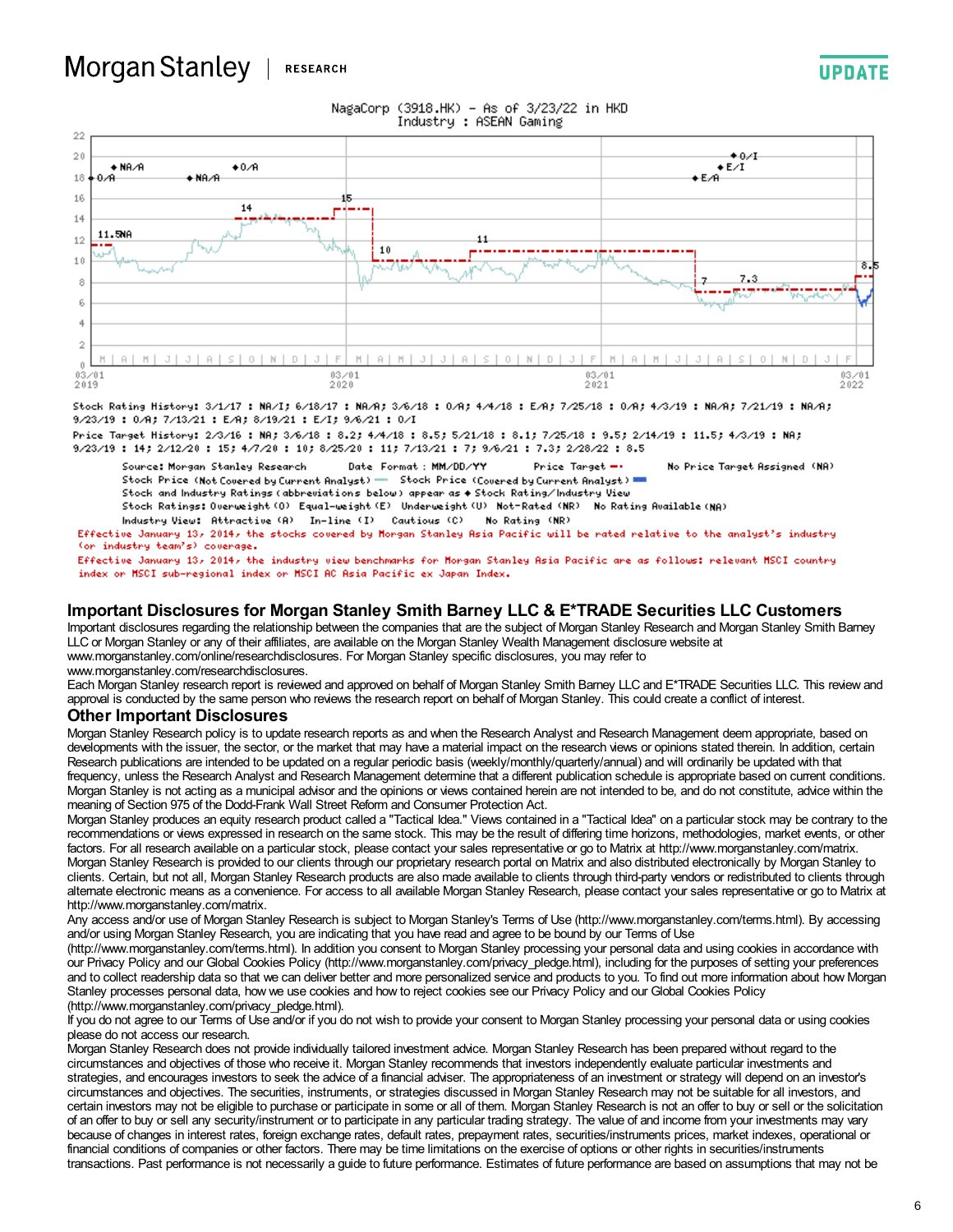#### Morgan Stanley | **RESEARCH**



NagaCorp (3918.HK) - As of 3/23/22 in HKD

Stock Rating History: 3/1/17 : NA/I; 6/18/17 : NA/A; 3/6/18 : 0/A; 4/4/18 : E/A; 7/25/18 : 0/A; 4/3/19 : NA/A; 7/21/19 : NA/A;

9/23/19:0/A; 7/13/21:E/A; 8/19/21:E/I; 9/6/21:0/I

Price Target History: 2/3/16 : NA; 3/6/18 : 8.2; 4/4/18 : 8.5; 5/21/18 : 8.1; 7/25/18 : 9.5; 2/14/19 : 11.5; 4/3/19 : NA; 9/23/19: 14; 2/12/20: 15; 4/7/20: 10; 8/25/20: 11; 7/13/21: 7; 9/6/21: 7.3; 2/28/22: 8.5

Date Format: MM/DD/YY Source: Morgan Stanley Research Price Target --No Price Target Assigned (NA) Stock Price (Covered by Current Analyst) WH Stock Price (Not Covered by Current Analyst) =

Stock and Industry Ratings (abbreviations below) appear as  $\bullet$  Stock Rating/Industry View

Stock Ratings: Overweight (O) Equal-weight (E) Underweight (U) Not-Rated (NR) No Rating Available (NA)

Industry View: Attractive (A) In-line (I) Cautious (C) No Rating (NR)

Effective January 13, 2014, the stocks covered by Morgan Stanley Asia Pacific will be rated relative to the analyst's industry (or industry team's) coverage.

Effective January 13, 2014, the industry view benchmarks for Morgan Stanley Asia Pacific are as follows: relevant MSCI country index or MSCI sub-regional index or MSCI AC Asia Pacific ex Japan Index.

#### **Important Disclosures for Morgan Stanley Smith Barney LLC & E\*TRADE Securities LLC Customers**

Important disclosures regarding the relationship between the companies that are the subject of Morgan Stanley Research and Morgan Stanley Smith Barney LLC or Morgan Stanley or any of their affiliates, are available on the Morgan Stanley Wealth Management disclosure website at www.morganstanley.com/online/researchdisclosures. For Morgan Stanley specific disclosures, you may refer to

www.morganstanley.com/researchdisclosures.

Each Morgan Stanley research report is reviewed and approved on behalf of Morgan Stanley Smith Barney LLC and E\*TRADE Securities LLC. This review and approval is conducted by the same person who reviews the research report on behalf of Morgan Stanley. This could create a conflict of interest.

#### **Other Important Disclosures**

Morgan Stanley Research policy is to update research reports as and when the Research Analyst and Research Management deem appropriate, based on developments with the issuer, the sector, or the market that may have a material impact on the research views or opinions stated therein. In addition, certain Research publications are intended to be updated on a regular periodic basis (weekly/monthly/quarterly/annual) and will ordinarily be updated with that frequency, unless the Research Analyst and Research Management determine that a different publication schedule is appropriate based on current conditions. Morgan Stanley is not acting as a municipal advisor and the opinions or views contained herein are not intended to be, and do not constitute, advice within the meaning of Section 975 of the Dodd-Frank Wall Street Reform and Consumer Protection Act.

Morgan Stanley produces an equity research product called a "Tactical Idea." Views contained in a "Tactical Idea" on a particular stock may be contrary to the recommendations or views expressed in research on the same stock. This may be the result of differing time horizons, methodologies, market events, or other factors. For all research available on a particular stock, please contact your sales representative or go to Matrix at http://www.morganstanley.com/matrix. Morgan Stanley Research is provided to our clients through our proprietary research portal on Matrix and also distributed electronically by Morgan Stanley to clients. Certain, but not all, Morgan Stanley Research products are also made available to clients through third-party vendors or redistributed to clients through alternate electronic means as a convenience. For access to all available Morgan Stanley Research, please contact your sales representative or go to Matrix at http://www.morganstanley.com/matrix.

Any access and/or use of Morgan Stanley Research is subject to Morgan Stanley's Terms of Use (http://www.morganstanley.com/terms.html). By accessing and/or using Morgan Stanley Research, you are indicating that you have read and agree to be bound by our Terms of Use

(http://www.morganstanley.com/terms.html). In addition you consent to Morgan Stanley processing your personal data and using cookies in accordance with our Privacy Policy and our Global Cookies Policy (http://www.morganstanley.com/privacy\_pledge.html), including for the purposes of setting your preferences and to collect readership data so that we can deliver better and more personalized service and products to you. To find out more information about how Morgan Stanley processes personal data, how we use cookies and how to reject cookies see our Privacy Policy and our Global Cookies Policy (http://www.morganstanley.com/privacy\_pledge.html).

If you do not agree to our Terms of Use and/or if you do not wish to provide your consent to Morgan Stanley processing your personal data or using cookies please do not access our research.

Morgan Stanley Research does not provide individually tailored investment advice. Morgan Stanley Research has been prepared without regard to the circumstances and objectives of those who receive it. Morgan Stanley recommends that investors independently evaluate particular investments and strategies, and encourages investors to seek the advice of a financial adviser. The appropriateness of an investment or strategy will depend on an investor's circumstances and objectives. The securities, instruments, or strategies discussed in Morgan Stanley Research may not be suitable for all investors, and certain investors may not be eligible to purchase or participate in some or all of them. Morgan Stanley Research is not an offer to buy or sell or the solicitation of an offer to buy or sell any security/instrument or to participate in any particular trading strategy. The value of and income from your investments may vary because of changes in interest rates, foreign exchange rates, default rates, prepayment rates, securities/instruments prices, market indexes, operational or financial conditions of companies or other factors. There may be time limitations on the exercise of options or other rights in securities/instruments transactions. Past performance is not necessarily a guide to future performance. Estimates of future performance are based on assumptions that may not be

**UPDATE**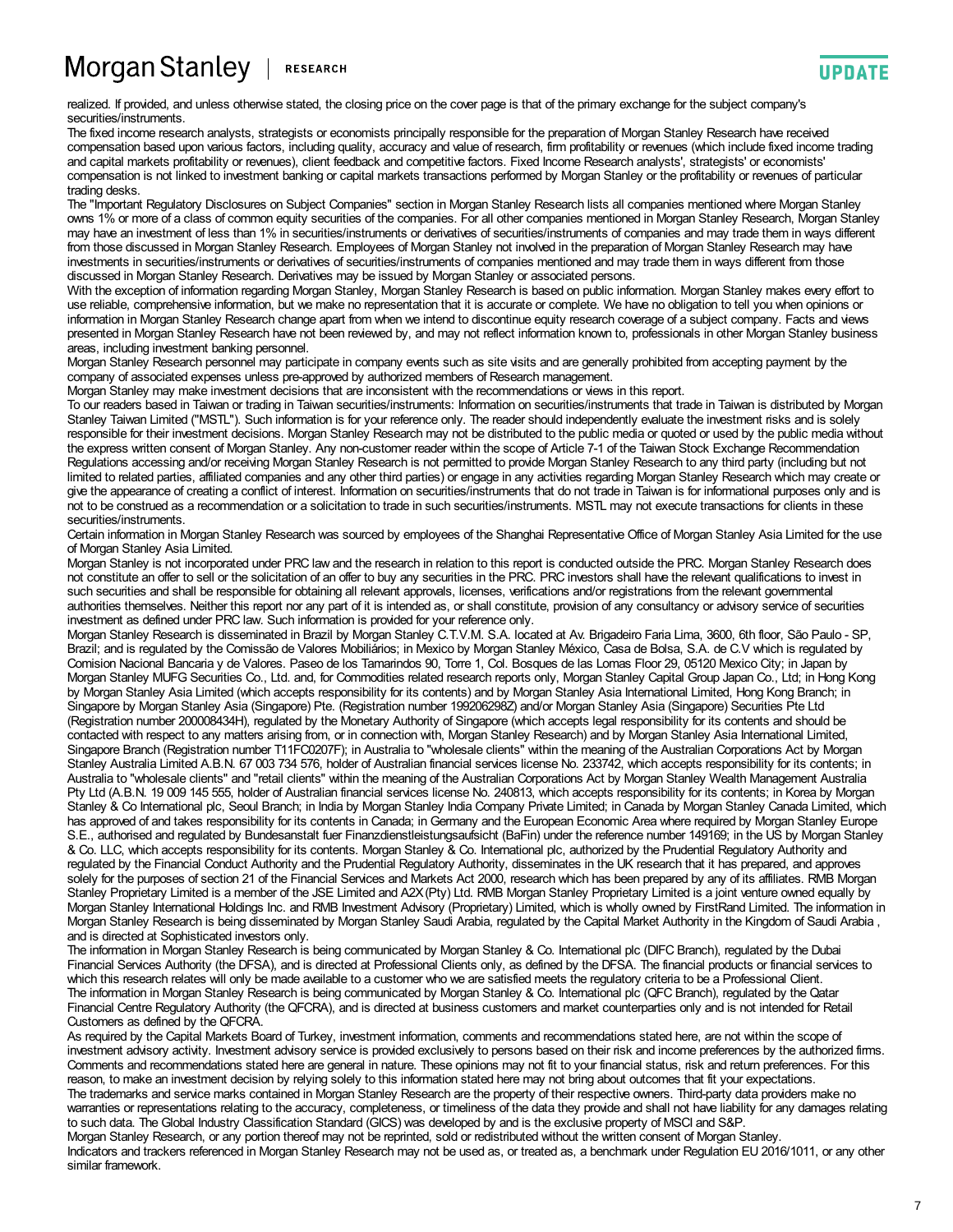#### Morgan Stanley **RESEARCH**

realized. If provided, and unless otherwise stated, the closing price on the cover page is that of the primary exchange for the subject company's securities/instruments.

The fixed income research analysts, strategists or economists principally responsible for the preparation of Morgan Stanley Research have received compensation based upon various factors, including quality, accuracy and value of research, firm profitability or revenues (which include fixed income trading and capital markets profitability or revenues), client feedback and competitive factors. Fixed Income Research analysts', strategists' or economists' compensation is not linked to investment banking or capital markets transactions performed by Morgan Stanley or the profitability or revenues of particular trading desks.

The "Important Regulatory Disclosures on Subject Companies" section in Morgan Stanley Research lists all companies mentioned where Morgan Stanley owns 1% or more of a class of common equity securities of the companies. For all other companies mentioned in Morgan Stanley Research, Morgan Stanley may have an investment of less than 1% in securities/instruments or derivatives of securities/instruments of companies and may trade them in ways different from those discussed in Morgan Stanley Research. Employees of Morgan Stanley not involved in the preparation of Morgan Stanley Research may have investments in securities/instruments or derivatives of securities/instruments of companies mentioned and may trade them in ways different from those<br>discussed in Morgan Stanley Research. Derivatives may be issued by Morga

With the exception of information regarding Morgan Stanley, Morgan Stanley Research is based on public information. Morgan Stanley makes every effort to use reliable, comprehensive information, but we make no representation that it is accurate or complete. We have no obligation to tell you when opinions or information in Morgan Stanley Research change apart from when we intend to discontinue equity research coverage of a subject company. Facts and views presented in Morgan Stanley Research have not been reviewed by, and may not reflect information known to, professionals in other Morgan Stanley business areas, including investment banking personnel.

Morgan Stanley Research personnel may participate in company events such as site visits and are generally prohibited from accepting payment by the company of associated expenses unless pre-approved by authorized members of Research management.

Morgan Stanley may make investment decisions that are inconsistent with the recommendations or views in this report.

To our readers based in Taiwan or trading in Taiwan securities/instruments: Information on securities/instruments that trade in Taiwan is distributed by Morgan Stanley Taiwan Limited ("MSTL"). Such information is for your reference only. The reader should independently evaluate the investment risks and is solely responsible for their investment decisions. Morgan Stanley Research may not be distributed to the public media or quoted or used by the public media without the express written consent of Morgan Stanley. Any non-customer reader within the scope of Article 7-1 of the Taiwan Stock Exchange Recommendation Regulations accessing and/or receiving Morgan Stanley Research is not permitted to provide Morgan Stanley Research to any third party (including but not limited to related parties, affiliated companies and any other third parties) or engage in any activities regarding Morgan Stanley Research which may create or give the appearance of creating a conflict of interest. Information on securities/instruments that do not trade in Taiwan is for informational purposes only and is not to be construed as a recommendation or a solicitation to trade in such securities/instruments. MSTL may not execute transactions for clients in these securities/instruments.

Certain information in Morgan Stanley Research was sourced by employees of the Shanghai Representative Office of Morgan Stanley Asia Limited for the use of Morgan Stanley Asia Limited.

Morgan Stanley is not incorporated under PRC law and the research in relation to this report is conducted outside the PRC. Morgan Stanley Research does not constitute an offer to sell or the solicitation of an offer to buy any securities in the PRC. PRC investors shall have the relevant qualifications to invest in such securities and shall be responsible for obtaining all relevant approvals, licenses, verifications and/or registrations from the relevant governmental authorities themselves. Neither this report nor any part of it is intended as, or shall constitute, provision of any consultancy or advisory service of securities investment as defined under PRC law. Such information is provided for your reference only.

Morgan Stanley Research is disseminated in Brazil by Morgan Stanley C.T.V.M. S.A. located at Av. Brigadeiro Faria Lima, 3600, 6th floor, São Paulo - SP, Brazil; and is regulated by the Comissão de Valores Mobiliários; in Mexico by Morgan Stanley México, Casa de Bolsa, S.A. de C.V which is regulated by Comision Nacional Bancaria y de Valores. Paseo de los Tamarindos 90, Torre 1, Col. Bosques de las Lomas Floor 29, 05120 Mexico City; in Japan by Morgan Stanley MUFG Securities Co., Ltd. and, for Commodities related research reports only, Morgan Stanley Capital Group Japan Co., Ltd; in Hong Kong by Morgan Stanley Asia Limited (which accepts responsibility for its contents) and by Morgan Stanley Asia International Limited, Hong Kong Branch; in Singapore by Morgan Stanley Asia (Singapore) Pte. (Registration number 199206298Z) and/or Morgan Stanley Asia (Singapore) Securities Pte Ltd (Registration number 200008434H), regulated by the Monetary Authority of Singapore (which accepts legal responsibility for its contents and should be contacted with respect to any matters arising from, or in connection with, Morgan Stanley Research) and by Morgan Stanley Asia International Limited, Singapore Branch (Registration number T11FC0207F); in Australia to "wholesale clients" within the meaning of the Australian Corporations Act by Morgan Stanley Australia Limited A.B.N. 67 003 734 576, holder of Australian financial services license No. 233742, which accepts responsibility for its contents; in Australia to "wholesale clients" and "retail clients" within the meaning of the Australian Corporations Act by Morgan Stanley Wealth Management Australia Pty Ltd (A.B.N. 19 009 145 555, holder of Australian financial services license No. 240813, which accepts responsibility for its contents; in Korea by Morgan Stanley & Co International plc, Seoul Branch; in India by Morgan Stanley India Company Private Limited; in Canada by Morgan Stanley Canada Limited, which has approved of and takes responsibility for its contents in Canada; in Germany and the European Economic Area where required by Morgan Stanley Europe S.E., authorised and regulated by Bundesanstalt fuer Finanzdienstleistungsaufsicht (BaFin) under the reference number 149169; in the US by Morgan Stanley & Co. LLC, which accepts responsibility for its contents. Morgan Stanley & Co. International plc, authorized by the Prudential Regulatory Authority and regulated by the Financial Conduct Authority and the Prudential Regulatory Authority, disseminates in the UK research that it has prepared, and approves solely for the purposes of section 21 of the Financial Services and Markets Act 2000, research which has been prepared by any of its affiliates. RMB Morgan Stanley Proprietary Limited is a member of the JSE Limited and A2X(Pty) Ltd. RMB Morgan Stanley Proprietary Limited is a joint venture owned equally by Morgan Stanley International Holdings Inc. and RMB Investment Advisory (Proprietary) Limited, which is wholly owned by FirstRand Limited. The information in Morgan Stanley Research is being disseminated by Morgan Stanley Saudi Arabia, regulated by the Capital Market Authority in the Kingdom of Saudi Arabia , and is directed at Sophisticated investors only.

The information in Morgan Stanley Research is being communicated by Morgan Stanley & Co. International plc (DIFC Branch), regulated by the Dubai Financial Services Authority (the DFSA), and is directed at Professional Clients only, as defined by the DFSA. The financial products or financial services to which this research relates will only be made available to a customer who we are satisfied meets the regulatory criteria to be a Professional Client. The information in Morgan Stanley Research is being communicated by Morgan Stanley & Co. International plc (QFC Branch), regulated by the Qatar Financial Centre Regulatory Authority (the QFCRA), and is directed at business customers and market counterparties only and is not intended for Retail Customers as defined by the QFCRA.

As required by the Capital Markets Board of Turkey, investment information, comments and recommendations stated here, are not within the scope of investment advisory activity. Investment advisory service is provided exclusively to persons based on their risk and income preferences by the authorized firms. Comments and recommendations stated here are general in nature. These opinions may not fit to your financial status, risk and return preferences. For this reason, to make an investment decision by relying solely to this information stated here may not bring about outcomes that fit your expectations. The trademarks and service marks contained in Morgan Stanley Research are the property of their respective owners. Third-party data providers make no warranties or representations relating to the accuracy, completeness, or timeliness of the data they provide and shall not have liability for any damages relating to such data. The Global Industry Classification Standard (GICS) was developed by and is the exclusive property of MSCI and S&P. Morgan Stanley Research, or any portion thereof may not be reprinted, sold or redistributed without the written consent of Morgan Stanley. Indicators and trackers referenced in Morgan Stanley Research may not be used as, or treated as, a benchmark under Regulation EU 2016/1011, or any other similar framework.

**UPDATE**